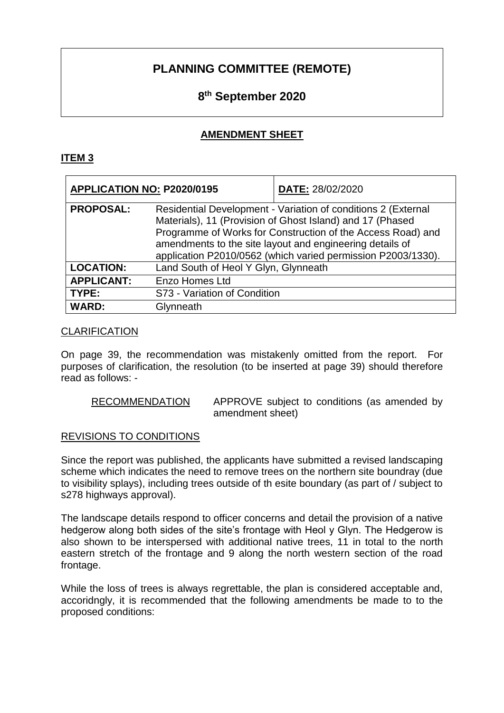# **PLANNING COMMITTEE (REMOTE)**

# **8 th September 2020**

# **AMENDMENT SHEET**

### **ITEM 3**

| APPLICATION NO: P2020/0195 |                                                                                                                                                                                                                                                                                                                       | DATE: 28/02/2020 |
|----------------------------|-----------------------------------------------------------------------------------------------------------------------------------------------------------------------------------------------------------------------------------------------------------------------------------------------------------------------|------------------|
| <b>PROPOSAL:</b>           | Residential Development - Variation of conditions 2 (External<br>Materials), 11 (Provision of Ghost Island) and 17 (Phased<br>Programme of Works for Construction of the Access Road) and<br>amendments to the site layout and engineering details of<br>application P2010/0562 (which varied permission P2003/1330). |                  |
| <b>LOCATION:</b>           | Land South of Heol Y Glyn, Glynneath                                                                                                                                                                                                                                                                                  |                  |
| <b>APPLICANT:</b>          | Enzo Homes Ltd                                                                                                                                                                                                                                                                                                        |                  |
| TYPE:                      | S73 - Variation of Condition                                                                                                                                                                                                                                                                                          |                  |
| <b>WARD:</b>               | Glynneath                                                                                                                                                                                                                                                                                                             |                  |

### **CLARIFICATION**

On page 39, the recommendation was mistakenly omitted from the report. For purposes of clarification, the resolution (to be inserted at page 39) should therefore read as follows: -

RECOMMENDATION APPROVE subject to conditions (as amended by amendment sheet)

# REVISIONS TO CONDITIONS

Since the report was published, the applicants have submitted a revised landscaping scheme which indicates the need to remove trees on the northern site boundray (due to visibility splays), including trees outside of th esite boundary (as part of / subject to s278 highways approval).

The landscape details respond to officer concerns and detail the provision of a native hedgerow along both sides of the site's frontage with Heol y Glyn. The Hedgerow is also shown to be interspersed with additional native trees, 11 in total to the north eastern stretch of the frontage and 9 along the north western section of the road frontage.

While the loss of trees is always regrettable, the plan is considered acceptable and, accoridngly, it is recommended that the following amendments be made to to the proposed conditions: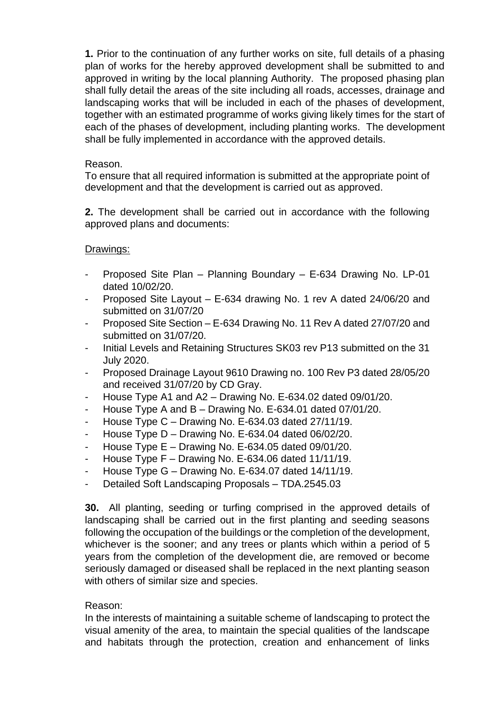**1.** Prior to the continuation of any further works on site, full details of a phasing plan of works for the hereby approved development shall be submitted to and approved in writing by the local planning Authority. The proposed phasing plan shall fully detail the areas of the site including all roads, accesses, drainage and landscaping works that will be included in each of the phases of development, together with an estimated programme of works giving likely times for the start of each of the phases of development, including planting works. The development shall be fully implemented in accordance with the approved details.

# Reason.

To ensure that all required information is submitted at the appropriate point of development and that the development is carried out as approved.

**2.** The development shall be carried out in accordance with the following approved plans and documents:

# Drawings:

- Proposed Site Plan Planning Boundary E-634 Drawing No. LP-01 dated 10/02/20.
- Proposed Site Layout E-634 drawing No. 1 rev A dated 24/06/20 and submitted on 31/07/20
- Proposed Site Section E-634 Drawing No. 11 Rev A dated 27/07/20 and submitted on 31/07/20.
- Initial Levels and Retaining Structures SK03 rev P13 submitted on the 31 July 2020.
- Proposed Drainage Layout 9610 Drawing no. 100 Rev P3 dated 28/05/20 and received 31/07/20 by CD Gray.
- House Type A1 and A2 Drawing No. E-634.02 dated 09/01/20.
- House Type A and  $B -$  Drawing No. E-634.01 dated 07/01/20.
- House Type C Drawing No. E-634.03 dated 27/11/19.
- House Type D Drawing No. E-634.04 dated 06/02/20.
- House Type E Drawing No. E-634.05 dated 09/01/20.
- House Type F Drawing No. E-634.06 dated 11/11/19.
- House Type G Drawing No. E-634.07 dated 14/11/19.
- Detailed Soft Landscaping Proposals TDA.2545.03

**30.** All planting, seeding or turfing comprised in the approved details of landscaping shall be carried out in the first planting and seeding seasons following the occupation of the buildings or the completion of the development, whichever is the sooner; and any trees or plants which within a period of 5 years from the completion of the development die, are removed or become seriously damaged or diseased shall be replaced in the next planting season with others of similar size and species.

### Reason:

In the interests of maintaining a suitable scheme of landscaping to protect the visual amenity of the area, to maintain the special qualities of the landscape and habitats through the protection, creation and enhancement of links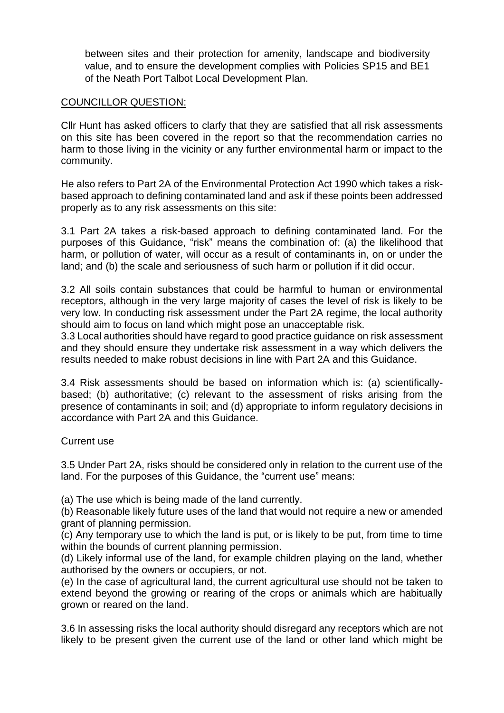between sites and their protection for amenity, landscape and biodiversity value, and to ensure the development complies with Policies SP15 and BE1 of the Neath Port Talbot Local Development Plan.

### COUNCILLOR QUESTION:

Cllr Hunt has asked officers to clarfy that they are satisfied that all risk assessments on this site has been covered in the report so that the recommendation carries no harm to those living in the vicinity or any further environmental harm or impact to the community.

He also refers to Part 2A of the Environmental Protection Act 1990 which takes a riskbased approach to defining contaminated land and ask if these points been addressed properly as to any risk assessments on this site:

3.1 Part 2A takes a risk-based approach to defining contaminated land. For the purposes of this Guidance, "risk" means the combination of: (a) the likelihood that harm, or pollution of water, will occur as a result of contaminants in, on or under the land; and (b) the scale and seriousness of such harm or pollution if it did occur.

3.2 All soils contain substances that could be harmful to human or environmental receptors, although in the very large majority of cases the level of risk is likely to be very low. In conducting risk assessment under the Part 2A regime, the local authority should aim to focus on land which might pose an unacceptable risk.

3.3 Local authorities should have regard to good practice guidance on risk assessment and they should ensure they undertake risk assessment in a way which delivers the results needed to make robust decisions in line with Part 2A and this Guidance.

3.4 Risk assessments should be based on information which is: (a) scientificallybased; (b) authoritative; (c) relevant to the assessment of risks arising from the presence of contaminants in soil; and (d) appropriate to inform regulatory decisions in accordance with Part 2A and this Guidance.

Current use

3.5 Under Part 2A, risks should be considered only in relation to the current use of the land. For the purposes of this Guidance, the "current use" means:

(a) The use which is being made of the land currently.

(b) Reasonable likely future uses of the land that would not require a new or amended grant of planning permission.

(c) Any temporary use to which the land is put, or is likely to be put, from time to time within the bounds of current planning permission.

(d) Likely informal use of the land, for example children playing on the land, whether authorised by the owners or occupiers, or not.

(e) In the case of agricultural land, the current agricultural use should not be taken to extend beyond the growing or rearing of the crops or animals which are habitually grown or reared on the land.

3.6 In assessing risks the local authority should disregard any receptors which are not likely to be present given the current use of the land or other land which might be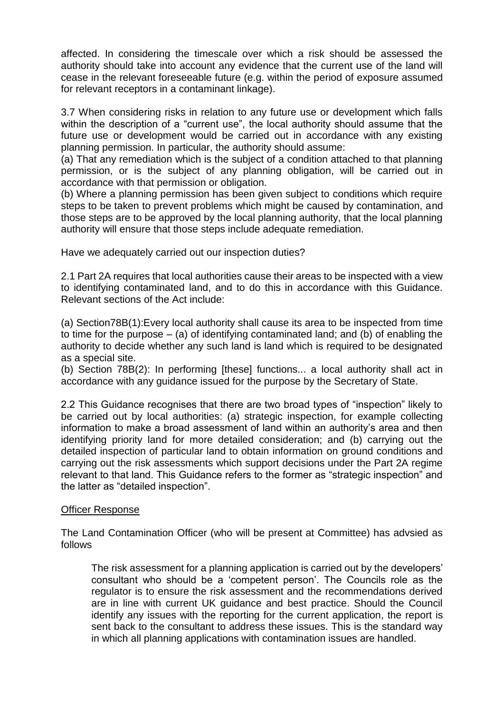affected. In considering the timescale over which a risk should be assessed the authority should take into account any evidence that the current use of the land will cease in the relevant foreseeable future (e.g. within the period of exposure assumed for relevant receptors in a contaminant linkage).

3.7 When considering risks in relation to any future use or development which falls within the description of a "current use", the local authority should assume that the future use or development would be carried out in accordance with any existing planning permission. In particular, the authority should assume:

(a) That any remediation which is the subject of a condition attached to that planning permission, or is the subject of any planning obligation, will be carried out in accordance with that permission or obligation.

(b) Where a planning permission has been given subject to conditions which require steps to be taken to prevent problems which might be caused by contamination, and those steps are to be approved by the local planning authority, that the local planning authority will ensure that those steps include adequate remediation.

Have we adequately carried out our inspection duties?

2.1 Part 2A requires that local authorities cause their areas to be inspected with a view to identifying contaminated land, and to do this in accordance with this Guidance. Relevant sections of the Act include:

(a) Section78B(1):Every local authority shall cause its area to be inspected from time to time for the purpose – (a) of identifying contaminated land; and (b) of enabling the authority to decide whether any such land is land which is required to be designated as a special site.

(b) Section 78B(2): In performing [these] functions... a local authority shall act in accordance with any guidance issued for the purpose by the Secretary of State.

2.2 This Guidance recognises that there are two broad types of "inspection" likely to be carried out by local authorities: (a) strategic inspection, for example collecting information to make a broad assessment of land within an authority's area and then identifying priority land for more detailed consideration; and (b) carrying out the detailed inspection of particular land to obtain information on ground conditions and carrying out the risk assessments which support decisions under the Part 2A regime relevant to that land. This Guidance refers to the former as "strategic inspection" and the latter as "detailed inspection".

### Officer Response

The Land Contamination Officer (who will be present at Committee) has advsied as follows

The risk assessment for a planning application is carried out by the developers' consultant who should be a 'competent person'. The Councils role as the regulator is to ensure the risk assessment and the recommendations derived are in line with current UK guidance and best practice. Should the Council identify any issues with the reporting for the current application, the report is sent back to the consultant to address these issues. This is the standard way in which all planning applications with contamination issues are handled.